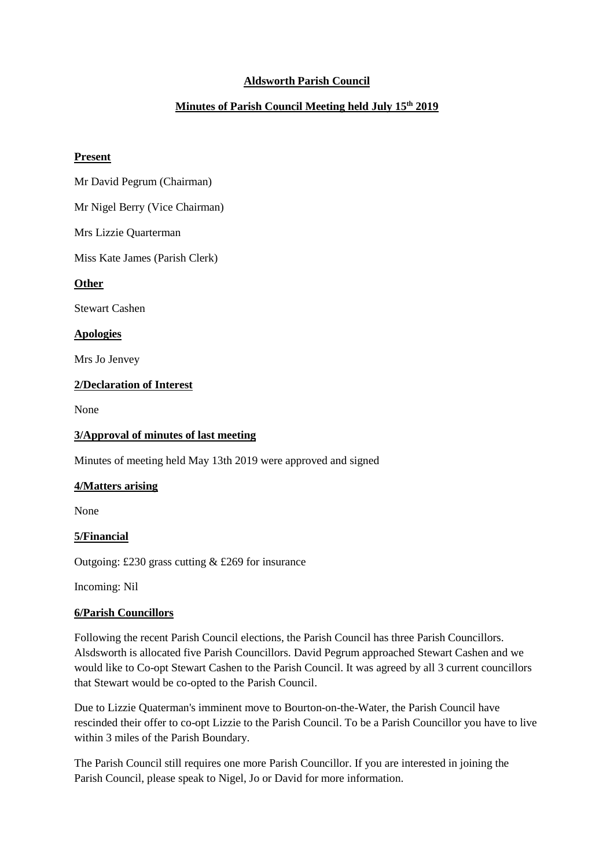# **Aldsworth Parish Council**

# **Minutes of Parish Council Meeting held July 15th 2019**

#### **Present**

Mr David Pegrum (Chairman)

Mr Nigel Berry (Vice Chairman)

Mrs Lizzie Quarterman

Miss Kate James (Parish Clerk)

## **Other**

Stewart Cashen

## **Apologies**

Mrs Jo Jenvey

## **2/Declaration of Interest**

None

## **3/Approval of minutes of last meeting**

Minutes of meeting held May 13th 2019 were approved and signed

## **4/Matters arising**

None

## **5/Financial**

Outgoing: £230 grass cutting & £269 for insurance

Incoming: Nil

## **6/Parish Councillors**

Following the recent Parish Council elections, the Parish Council has three Parish Councillors. Alsdsworth is allocated five Parish Councillors. David Pegrum approached Stewart Cashen and we would like to Co-opt Stewart Cashen to the Parish Council. It was agreed by all 3 current councillors that Stewart would be co-opted to the Parish Council.

Due to Lizzie Quaterman's imminent move to Bourton-on-the-Water, the Parish Council have rescinded their offer to co-opt Lizzie to the Parish Council. To be a Parish Councillor you have to live within 3 miles of the Parish Boundary.

The Parish Council still requires one more Parish Councillor. If you are interested in joining the Parish Council, please speak to Nigel, Jo or David for more information.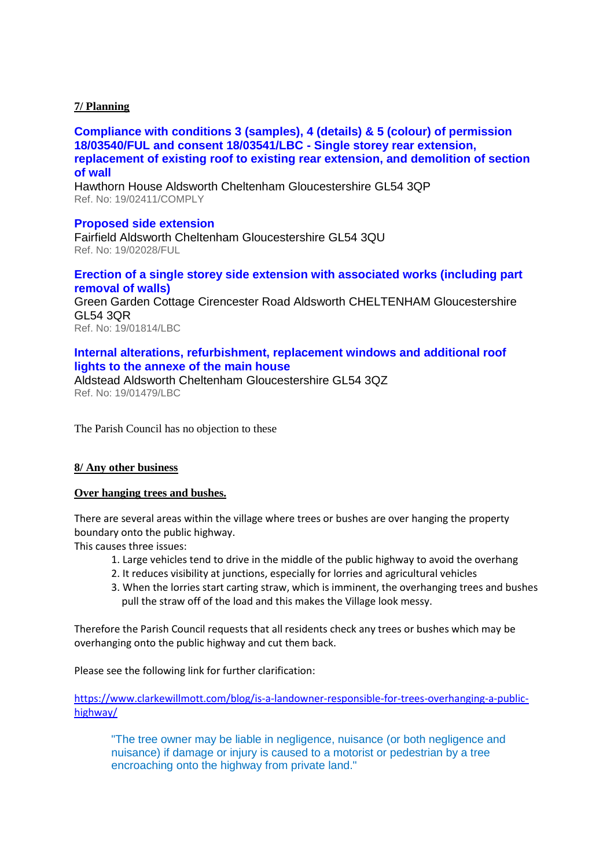## **7/ Planning**

**[Compliance with conditions 3 \(samples\), 4 \(details\) & 5 \(colour\) of permission](https://publicaccess.cotswold.gov.uk/online-applications/applicationDetails.do?keyVal=PTNQZPFIISJ00&activeTab=summary)  [18/03540/FUL and consent 18/03541/LBC -](https://publicaccess.cotswold.gov.uk/online-applications/applicationDetails.do?keyVal=PTNQZPFIISJ00&activeTab=summary) Single storey rear extension, [replacement of existing roof to existing rear extension, and demolition of section](https://publicaccess.cotswold.gov.uk/online-applications/applicationDetails.do?keyVal=PTNQZPFIISJ00&activeTab=summary)  [of wall](https://publicaccess.cotswold.gov.uk/online-applications/applicationDetails.do?keyVal=PTNQZPFIISJ00&activeTab=summary)**

Hawthorn House Aldsworth Cheltenham Gloucestershire GL54 3QP Ref. No: 19/02411/COMPLY

## **[Proposed side extension](https://publicaccess.cotswold.gov.uk/online-applications/applicationDetails.do?keyVal=PSB249FII4S00&activeTab=summary)**

Fairfield Aldsworth Cheltenham Gloucestershire GL54 3QU Ref. No: 19/02028/FUL

## **[Erection of a single storey side extension with associated works \(including part](https://publicaccess.cotswold.gov.uk/online-applications/applicationDetails.do?keyVal=PRHW6FFIHS300&activeTab=summary)  [removal of walls\)](https://publicaccess.cotswold.gov.uk/online-applications/applicationDetails.do?keyVal=PRHW6FFIHS300&activeTab=summary)**

Green Garden Cottage Cirencester Road Aldsworth CHELTENHAM Gloucestershire GL54 3QR Ref. No: 19/01814/LBC

# **[Internal alterations, refurbishment, replacement windows and additional roof](https://publicaccess.cotswold.gov.uk/online-applications/applicationDetails.do?keyVal=PQ3QOBFIH5R00&activeTab=summary)  [lights to the annexe of the main house](https://publicaccess.cotswold.gov.uk/online-applications/applicationDetails.do?keyVal=PQ3QOBFIH5R00&activeTab=summary)**

Aldstead Aldsworth Cheltenham Gloucestershire GL54 3QZ Ref. No: 19/01479/LBC

The Parish Council has no objection to these

#### **8/ Any other business**

#### **Over hanging trees and bushes.**

There are several areas within the village where trees or bushes are over hanging the property boundary onto the public highway.

This causes three issues:

- 1. Large vehicles tend to drive in the middle of the public highway to avoid the overhang
- 2. It reduces visibility at junctions, especially for lorries and agricultural vehicles
- 3. When the lorries start carting straw, which is imminent, the overhanging trees and bushes pull the straw off of the load and this makes the Village look messy.

Therefore the Parish Council requests that all residents check any trees or bushes which may be overhanging onto the public highway and cut them back.

Please see the following link for further clarification:

[https://www.clarkewillmott.com/blog/is-a-landowner-responsible-for-trees-overhanging-a-public](https://www.clarkewillmott.com/blog/is-a-landowner-responsible-for-trees-overhanging-a-public-highway/)[highway/](https://www.clarkewillmott.com/blog/is-a-landowner-responsible-for-trees-overhanging-a-public-highway/)

"The tree owner may be liable in negligence, nuisance (or both negligence and nuisance) if damage or injury is caused to a motorist or pedestrian by a tree encroaching onto the highway from private land."